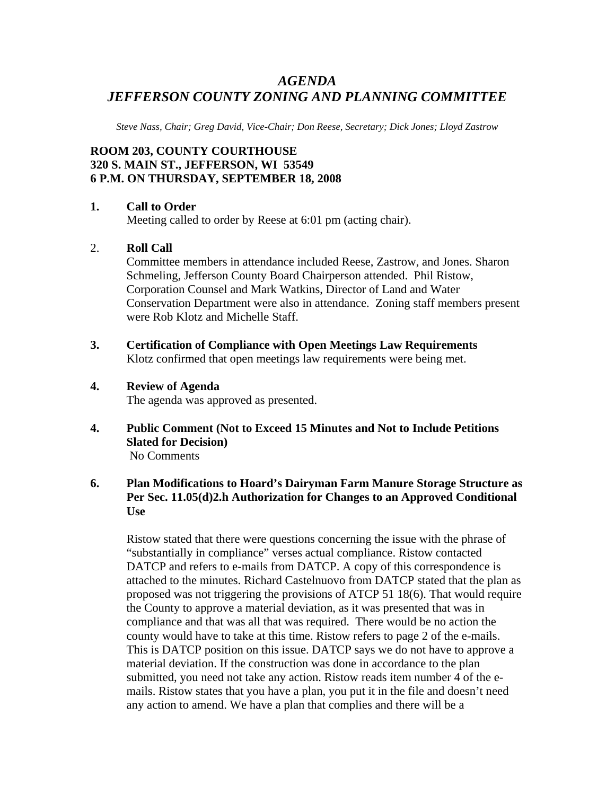# *AGENDA JEFFERSON COUNTY ZONING AND PLANNING COMMITTEE*

*Steve Nass, Chair; Greg David, Vice-Chair; Don Reese, Secretary; Dick Jones; Lloyd Zastrow* 

## **ROOM 203, COUNTY COURTHOUSE 320 S. MAIN ST., JEFFERSON, WI 53549 6 P.M. ON THURSDAY, SEPTEMBER 18, 2008**

#### **1. Call to Order**

Meeting called to order by Reese at 6:01 pm (acting chair).

#### 2. **Roll Call**

Committee members in attendance included Reese, Zastrow, and Jones. Sharon Schmeling, Jefferson County Board Chairperson attended. Phil Ristow, Corporation Counsel and Mark Watkins, Director of Land and Water Conservation Department were also in attendance. Zoning staff members present were Rob Klotz and Michelle Staff.

**3. Certification of Compliance with Open Meetings Law Requirements**  Klotz confirmed that open meetings law requirements were being met.

#### **4. Review of Agenda**

The agenda was approved as presented.

**4. Public Comment (Not to Exceed 15 Minutes and Not to Include Petitions Slated for Decision)**  No Comments

### **6. Plan Modifications to Hoard's Dairyman Farm Manure Storage Structure as Per Sec. 11.05(d)2.h Authorization for Changes to an Approved Conditional Use**

Ristow stated that there were questions concerning the issue with the phrase of "substantially in compliance" verses actual compliance. Ristow contacted DATCP and refers to e-mails from DATCP. A copy of this correspondence is attached to the minutes. Richard Castelnuovo from DATCP stated that the plan as proposed was not triggering the provisions of ATCP 51 18(6). That would require the County to approve a material deviation, as it was presented that was in compliance and that was all that was required. There would be no action the county would have to take at this time. Ristow refers to page 2 of the e-mails. This is DATCP position on this issue. DATCP says we do not have to approve a material deviation. If the construction was done in accordance to the plan submitted, you need not take any action. Ristow reads item number 4 of the emails. Ristow states that you have a plan, you put it in the file and doesn't need any action to amend. We have a plan that complies and there will be a